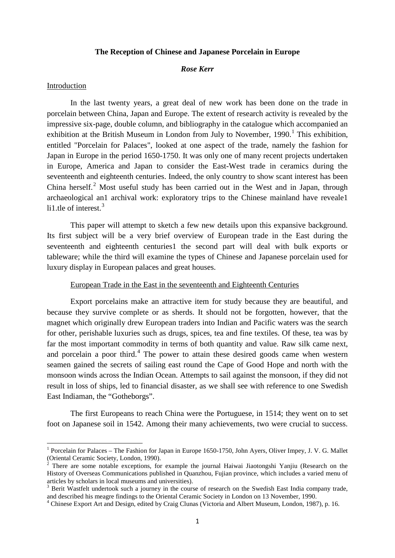### **The Reception of Chinese and Japanese Porcelain in Europe**

# *Rose Kerr*

# Introduction

In the last twenty years, a great deal of new work has been done on the trade in porcelain between China, Japan and Europe. The extent of research activity is revealed by the impressive six-page, double column, and bibliography in the catalogue which accompanied an exhibition at the British Museum in London from July to November,  $1990<sup>1</sup>$  $1990<sup>1</sup>$  This exhibition, entitled "Porcelain for Palaces", looked at one aspect of the trade, namely the fashion for Japan in Europe in the period 1650-1750. It was only one of many recent projects undertaken in Europe, America and Japan to consider the East-West trade in ceramics during the seventeenth and eighteenth centuries. Indeed, the only country to show scant interest has been China herself.<sup>[2](#page-0-1)</sup> Most useful study has been carried out in the West and in Japan, through archaeological an1 archival work: exploratory trips to the Chinese mainland have reveale1 li1 tle of interest  $3$ 

This paper will attempt to sketch a few new details upon this expansive background. Its first subject will be a very brief overview of European trade in the East during the seventeenth and eighteenth centuries1 the second part will deal with bulk exports or tableware; while the third will examine the types of Chinese and Japanese porcelain used for luxury display in European palaces and great houses.

## European Trade in the East in the seventeenth and Eighteenth Centuries

Export porcelains make an attractive item for study because they are beautiful, and because they survive complete or as sherds. It should not be forgotten, however, that the magnet which originally drew European traders into Indian and Pacific waters was the search for other, perishable luxuries such as drugs, spices, tea and fine textiles. Of these, tea was by far the most important commodity in terms of both quantity and value. Raw silk came next, and porcelain a poor third.<sup>[4](#page-0-3)</sup> The power to attain these desired goods came when western seamen gained the secrets of sailing east round the Cape of Good Hope and north with the monsoon winds across the Indian Ocean. Attempts to sail against the monsoon, if they did not result in loss of ships, led to financial disaster, as we shall see with reference to one Swedish East Indiaman, the "Gotheborgs".

The first Europeans to reach China were the Portuguese, in 1514; they went on to set foot on Japanese soil in 1542. Among their many achievements, two were crucial to success.

<span id="page-0-0"></span><sup>&</sup>lt;sup>1</sup> Porcelain for Palaces – The Fashion for Japan in Europe 1650-1750, John Ayers, Oliver Impey, J. V. G. Mallet (Oriental Ceramic Society, London, 1990).

<span id="page-0-1"></span> $2$  There are some notable exceptions, for example the journal Haiwai Jiaotongshi Yanjiu (Research on the History of Overseas Communications published in Quanzhou, Fujian province, which includes a varied menu of articles by scholars in local museums and universities).<br><sup>3</sup> Berit Wastfelt undertook such a journey in the course of research on the Swedish East India company trade,

<span id="page-0-2"></span>and described his meagre findings to the Oriental Ceramic Society in London on 13 November, 1990.

<span id="page-0-3"></span><sup>4</sup> Chinese Export Art and Design, edited by Craig Clunas (Victoria and Albert Museum, London, 1987), p. 16.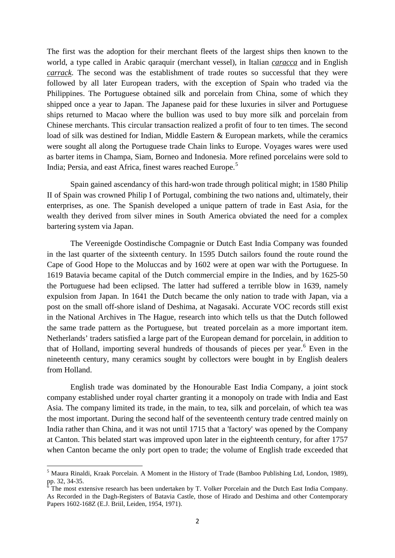The first was the adoption for their merchant fleets of the largest ships then known to the world, a type called in Arabic qaraquir (merchant vessel), in Italian *caracca* and in English *carrack*. The second was the establishment of trade routes so successful that they were followed by all later European traders, with the exception of Spain who traded via the Philippines. The Portuguese obtained silk and porcelain from China, some of which they shipped once a year to Japan. The Japanese paid for these luxuries in silver and Portuguese ships returned to Macao where the bullion was used to buy more silk and porcelain from Chinese merchants. This circular transaction realized a profit of four to ten times. The second load of silk was destined for Indian, Middle Eastern & European markets, while the ceramics were sought all along the Portuguese trade Chain links to Europe. Voyages wares were used as barter items in Champa, Siam, Borneo and Indonesia. More refined porcelains were sold to India; Persia, and east Africa, finest wares reached Europe.<sup>[5](#page-1-0)</sup>

Spain gained ascendancy of this hard-won trade through political might; in 1580 Philip II of Spain was crowned Philip I of Portugal, combining the two nations and, ultimately, their enterprises, as one. The Spanish developed a unique pattern of trade in East Asia, for the wealth they derived from silver mines in South America obviated the need for a complex bartering system via Japan.

The Vereenigde Oostindische Compagnie or Dutch East India Company was founded in the last quarter of the sixteenth century. In 1595 Dutch sailors found the route round the Cape of Good Hope to the Moluccas and by 1602 were at open war with the Portuguese. In 1619 Batavia became capital of the Dutch commercial empire in the Indies, and by 1625-50 the Portuguese had been eclipsed. The latter had suffered a terrible blow in 1639, namely expulsion from Japan. In 1641 the Dutch became the only nation to trade with Japan, via a post on the small off-shore island of Deshima, at Nagasaki. Accurate VOC records still exist in the National Archives in The Hague, research into which tells us that the Dutch followed the same trade pattern as the Portuguese, but treated porcelain as a more important item. Netherlands' traders satisfied a large part of the European demand for porcelain, in addition to that of Holland, importing several hundreds of thousands of pieces per year.<sup>[6](#page-1-1)</sup> Even in the nineteenth century, many ceramics sought by collectors were bought in by English dealers from Holland.

English trade was dominated by the Honourable East India Company, a joint stock company established under royal charter granting it a monopoly on trade with India and East Asia. The company limited its trade, in the main, to tea, silk and porcelain, of which tea was the most important. During the second half of the seventeenth century trade centred mainly on India rather than China, and it was not until 1715 that a 'factory' was opened by the Company at Canton. This belated start was improved upon later in the eighteenth century, for after 1757 when Canton became the only port open to trade; the volume of English trade exceeded that

<span id="page-1-0"></span><sup>&</sup>lt;sup>5</sup> Maura Rinaldi, Kraak Porcelain. A Moment in the History of Trade (Bamboo Publishing Ltd, London, 1989), pp. 32, 34-35.

<span id="page-1-1"></span>The most extensive research has been undertaken by T. Volker Porcelain and the Dutch East India Company. As Recorded in the Dagh-Registers of Batavia Castle, those of Hirado and Deshima and other Contemporary Papers 1602-168Z (E.J. Briil, Leiden, 1954, 1971).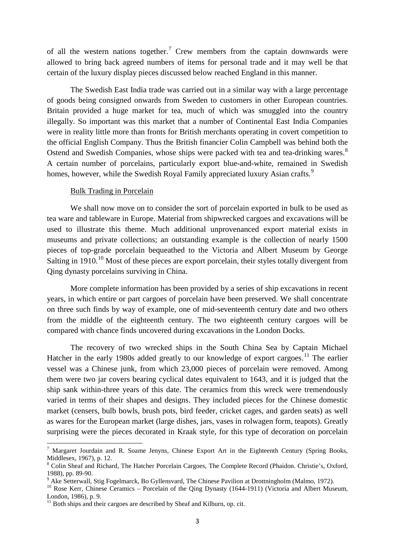of all the western nations together.<sup>[7](#page-2-0)</sup> Crew members from the captain downwards were allowed to bring back agreed numbers of items for personal trade and it may well be that certain of the luxury display pieces discussed below reached England in this manner.

The Swedish East India trade was carried out in a similar way with a large percentage of goods being consigned onwards from Sweden to customers in other European countries. Britain provided a huge market for tea, much of which was smuggled into the country illegally. So important was this market that a number of Continental East India Companies were in reality little more than fronts for British merchants operating in covert competition to the official English Company. Thus the British financier Colin Campbell was behind both the Ostend and Swedish Companies, whose ships were packed with tea and tea-drinking wares.<sup>[8](#page-2-1)</sup> A certain number of porcelains, particularly export blue-and-white, remained in Swedish homes, however, while the Swedish Royal Family appreciated luxury Asian crafts.<sup>[9](#page-2-2)</sup>

# Bulk Trading in Porcelain

We shall now move on to consider the sort of porcelain exported in bulk to be used as tea ware and tableware in Europe. Material from shipwrecked cargoes and excavations will be used to illustrate this theme. Much additional unprovenanced export material exists in museums and private collections; an outstanding example is the collection of nearly 1500 pieces of top-grade porcelain bequeathed to the Victoria and Albert Museum by George Salting in 19[10](#page-2-3).<sup>10</sup> Most of these pieces are export porcelain, their styles totally divergent from Qing dynasty porcelains surviving in China.

More complete information has been provided by a series of ship excavations in recent years, in which entire or part cargoes of porcelain have been preserved. We shall concentrate on three such finds by way of example, one of mid-seventeenth century date and two others from the middle of the eighteenth century. The two eighteenth century cargoes will be compared with chance finds uncovered during excavations in the London Docks.

The recovery of two wrecked ships in the South China Sea by Captain Michael Hatcher in the early 1980s added greatly to our knowledge of export cargoes.<sup>[11](#page-2-4)</sup> The earlier vessel was a Chinese junk, from which 23,000 pieces of porcelain were removed. Among them were two jar covers bearing cyclical dates equivalent to 1643, and it is judged that the ship sank within-three years of this date. The ceramics from this wreck were tremendously varied in terms of their shapes and designs. They included pieces for the Chinese domestic market (censers, bulb bowls, brush pots, bird feeder, cricket cages, and garden seats) as well as wares for the European market (large dishes, jars, vases in rolwagen form, teapots). Greatly surprising were the pieces decorated in Kraak style, for this type of decoration on porcelain

<span id="page-2-0"></span><sup>7</sup> Margaret Jourdain and R. Soame Jenyns, Chinese Export Art in the Eighteenth Century (Spring Books, Middlesex, 1967), p. 12.

<span id="page-2-1"></span><sup>&</sup>lt;sup>8</sup> Colin Sheaf and Richard, The Hatcher Porcelain Cargoes, The Complete Record (Phaidon. Christie's, Oxford, 1988), pp. 89-90.

<span id="page-2-3"></span><span id="page-2-2"></span><sup>&</sup>lt;sup>9</sup> Ake Setterwall, Stig Fogelmarck, Bo Gyllensvard, The Chinese Pavilion at Drottningholm (Malmo, 1972).<br><sup>10</sup> Rose Kerr, Chinese Ceramics – Porcelain of the Qing Dynasty (1644-1911) (Victoria and Albert Museum, London, 1986), p. 9.

<span id="page-2-4"></span> $11$  Both ships and their cargoes are described by Sheaf and Kilburn, op. cit.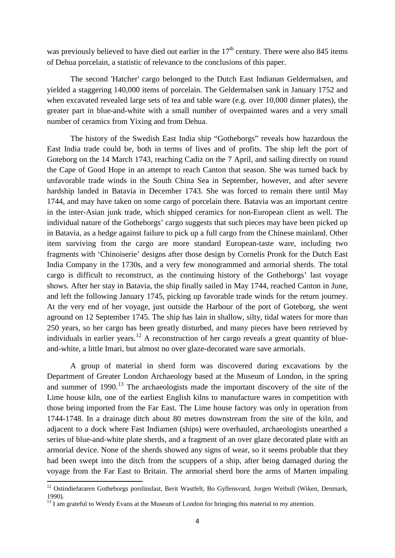was previously believed to have died out earlier in the  $17<sup>th</sup>$  century. There were also 845 items of Dehua porcelain, a statistic of relevance to the conclusions of this paper.

The second 'Hatcher' cargo belonged to the Dutch East Indianan Geldermalsen, and yielded a staggering 140,000 items of porcelain. The Geldermalsen sank in January 1752 and when excavated revealed large sets of tea and table ware (e.g. over 10,000 dinner plates), the greater part in blue-and-white with a small number of overpainted wares and a very small number of ceramics from Yixing and from Dehua.

The history of the Swedish East India ship "Gotheborgs" reveals how hazardous the East India trade could be, both in terms of lives and of profits. The ship left the port of Goteborg on the 14 March 1743, reaching Cadiz on the 7 April, and sailing directly on round the Cape of Good Hope in an attempt to reach Canton that season. She was turned back by unfavorable trade winds in the South China Sea in September, however, and after severe hardship landed in Batavia in December 1743. She was forced to remain there until May 1744, and may have taken on some cargo of porcelain there. Batavia was an important centre in the inter-Asian junk trade, which shipped ceramics for non-European client as well. The individual nature of the Gotheborgs' cargo suggests that such pieces may have been picked up in Batavia, as a hedge against failure to pick up a full cargo from the Chinese mainland. Other item surviving from the cargo are more standard European-taste ware, including two fragments with 'Chinoiserie' designs after those design by Cornelis Pronk for the Dutch East India Company in the 1730s, and a very few monogrammed and armorial sherds. The total cargo is difficult to reconstruct, as the continuing history of the Gotheborgs' last voyage shows. After her stay in Batavia, the ship finally sailed in May 1744, reached Canton in June, and left the following January 1745, picking up favorable trade winds for the return journey. At the very end of her voyage, just outside the Harbour of the port of Goteborg, she went aground on 12 September 1745. The ship has lain in shallow, silty, tidal waters for more than 250 years, so her cargo has been greatly disturbed, and many pieces have been retrieved by individuals in earlier years.<sup>[12](#page-3-0)</sup> A reconstruction of her cargo reveals a great quantity of blueand-white, a little Imari, but almost no over glaze-decorated ware save armorials.

A group of material in sherd form was discovered during excavations by the Department of Greater London Archaeology based at the Museum of London, in the spring and summer of  $1990$ <sup>[13](#page-3-1)</sup>. The archaeologists made the important discovery of the site of the Lime house kiln, one of the earliest English kilns to manufacture wares in competition with those being imported from the Far East. The Lime house factory was only in operation from 1744-1748. In a drainage ditch about 80 metres downstream from the site of the kiln, and adjacent to a dock where Fast Indiamen (ships) were overhauled, archaeologists unearthed a series of blue-and-white plate sherds, and a fragment of an over glaze decorated plate with an armorial device. None of the sherds showed any signs of wear, so it seems probable that they had been swept into the ditch from the scuppers of a ship, after being damaged during the voyage from the Far East to Britain. The armorial sherd bore the arms of Marten impaling

<span id="page-3-0"></span><sup>&</sup>lt;sup>12</sup> Ostindiefararen Gotheborgs porslinslast, Berit Wastfelt, Bo Gyllensvard, Jorgen Weibull (Wiken, Denmark, 1990).

<span id="page-3-1"></span> $13$  I am grateful to Wendy Evans at the Museum of London for bringing this material to my attention.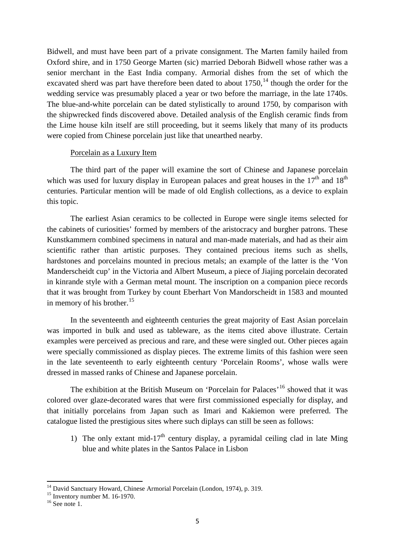Bidwell, and must have been part of a private consignment. The Marten family hailed from Oxford shire, and in 1750 George Marten (sic) married Deborah Bidwell whose rather was a senior merchant in the East India company. Armorial dishes from the set of which the excavated sherd was part have therefore been dated to about  $1750$ ,<sup>[14](#page-4-0)</sup> though the order for the wedding service was presumably placed a year or two before the marriage, in the late 1740s. The blue-and-white porcelain can be dated stylistically to around 1750, by comparison with the shipwrecked finds discovered above. Detailed analysis of the English ceramic finds from the Lime house kiln itself are still proceeding, but it seems likely that many of its products were copied from Chinese porcelain just like that unearthed nearby.

# Porcelain as a Luxury Item

The third part of the paper will examine the sort of Chinese and Japanese porcelain which was used for luxury display in European palaces and great houses in the  $17<sup>th</sup>$  and  $18<sup>th</sup>$ centuries. Particular mention will be made of old English collections, as a device to explain this topic.

The earliest Asian ceramics to be collected in Europe were single items selected for the cabinets of curiosities' formed by members of the aristocracy and burgher patrons. These Kunstkammern combined specimens in natural and man-made materials, and had as their aim scientific rather than artistic purposes. They contained precious items such as shells, hardstones and porcelains mounted in precious metals; an example of the latter is the 'Von Manderscheidt cup' in the Victoria and Albert Museum, a piece of Jiajing porcelain decorated in kinrande style with a German metal mount. The inscription on a companion piece records that it was brought from Turkey by count Eberhart Von Mandorscheidt in 1583 and mounted in memory of his brother. $15$ 

In the seventeenth and eighteenth centuries the great majority of East Asian porcelain was imported in bulk and used as tableware, as the items cited above illustrate. Certain examples were perceived as precious and rare, and these were singled out. Other pieces again were specially commissioned as display pieces. The extreme limits of this fashion were seen in the late seventeenth to early eighteenth century 'Porcelain Rooms', whose walls were dressed in massed ranks of Chinese and Japanese porcelain.

The exhibition at the British Museum on 'Porcelain for Palaces'<sup>[16](#page-4-2)</sup> showed that it was colored over glaze-decorated wares that were first commissioned especially for display, and that initially porcelains from Japan such as Imari and Kakiemon were preferred. The catalogue listed the prestigious sites where such diplays can still be seen as follows:

1) The only extant mid-17<sup>th</sup> century display, a pyramidal ceiling clad in late Ming blue and white plates in the Santos Palace in Lisbon

<span id="page-4-1"></span><span id="page-4-0"></span><sup>&</sup>lt;sup>14</sup> David Sanctuary Howard, Chinese Armorial Porcelain (London, 1974), p. 319.<br><sup>15</sup> Inventory number M. 16-1970.<br><sup>16</sup> See note 1.

<span id="page-4-2"></span>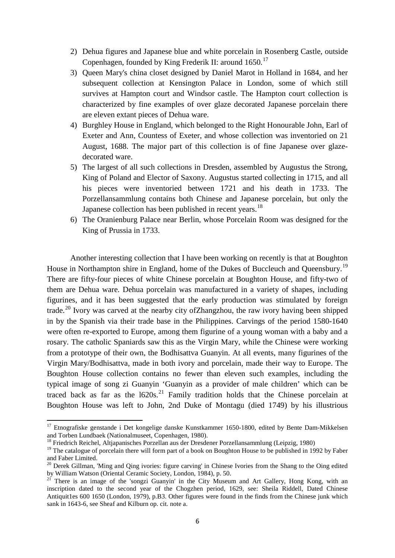- 2) Dehua figures and Japanese blue and white porcelain in Rosenberg Castle, outside Copenhagen, founded by King Frederik II: around  $1650$ .<sup>[17](#page-5-0)</sup>
- 3) Queen Mary's china closet designed by Daniel Marot in Holland in 1684, and her subsequent collection at Kensington Palace in London, some of which still survives at Hampton court and Windsor castle. The Hampton court collection is characterized by fine examples of over glaze decorated Japanese porcelain there are eleven extant pieces of Dehua ware.
- 4) Burghley House in England, which belonged to the Right Honourable John, Earl of Exeter and Ann, Countess of Exeter, and whose collection was inventoried on 21 August, 1688. The major part of this collection is of fine Japanese over glazedecorated ware.
- 5) The largest of all such collections in Dresden, assembled by Augustus the Strong, King of Poland and Elector of Saxony. Augustus started collecting in 1715, and all his pieces were inventoried between 1721 and his death in 1733. The Porzellansammlung contains both Chinese and Japanese porcelain, but only the Japanese collection has been published in recent years.<sup>[18](#page-5-1)</sup>
- 6) The Oranienburg Palace near Berlin, whose Porcelain Room was designed for the King of Prussia in 1733.

Another interesting collection that I have been working on recently is that at Boughton House in Northampton shire in England, home of the Dukes of Buccleuch and Queensbury.<sup>[19](#page-5-2)</sup> There are fifty-four pieces of white Chinese porcelain at Boughton House, and fifty-two of them are Dehua ware. Dehua porcelain was manufactured in a variety of shapes, including figurines, and it has been suggested that the early production was stimulated by foreign trade.<sup>[20](#page-5-3)</sup> Ivory was carved at the nearby city ofZhangzhou, the raw ivory having been shipped in by the Spanish via their trade base in the Philippines. Carvings of the period 1580-1640 were often re-exported to Europe, among them figurine of a young woman with a baby and a rosary. The catholic Spaniards saw this as the Virgin Mary, while the Chinese were working from a prototype of their own, the Bodhisattva Guanyin. At all events, many figurines of the Virgin Mary/Bodhisattva, made in both ivory and porcelain, made their way to Europe. The Boughton House collection contains no fewer than eleven such examples, including the typical image of song zi Guanyin 'Guanyin as a provider of male children' which can be traced back as far as the  $1620s$ <sup>[21](#page-5-4)</sup> Family tradition holds that the Chinese porcelain at Boughton House was left to John, 2nd Duke of Montagu (died 1749) by his illustrious

<span id="page-5-0"></span> $17$  Etnografiske genstande i Det kongelige danske Kunstkammer 1650-1800, edited by Bente Dam-Mikkelsen and Torben Lundbaek (Nationalmuseet, Copenhagen, 1980).

<sup>&</sup>lt;sup>18</sup> Friedrich Reichel, Altjapanisches Porzellan aus der Dresdener Porzellansammlung (Leipzig, 1980)

<span id="page-5-2"></span><span id="page-5-1"></span><sup>&</sup>lt;sup>19</sup> The catalogue of porcelain there will form part of a book on Boughton House to be published in 1992 by Faber and Faber Limited.

<span id="page-5-3"></span><sup>&</sup>lt;sup>20</sup> Derek Gillman, 'Ming and Qing ivories: figure carving' in Chinese Ivories from the Shang to the Oing edited by William Watson (Oriental Ceramic Society, London, 1984), p. 50.<br><sup>21</sup> There is an image of the 'songzi Guanyin' in the City Museum and Art Gallery, Hong Kong, with an

<span id="page-5-4"></span>inscription dated to the second year of the Chogzhen period, 1629, see: Sheila Riddell, Dated Chinese Antiquit1es 600 1650 (London, 1979), p.B3. Other figures were found in the finds from the Chinese junk which sank in 1643-6, see Sheaf and Kilburn op. cit. note a.